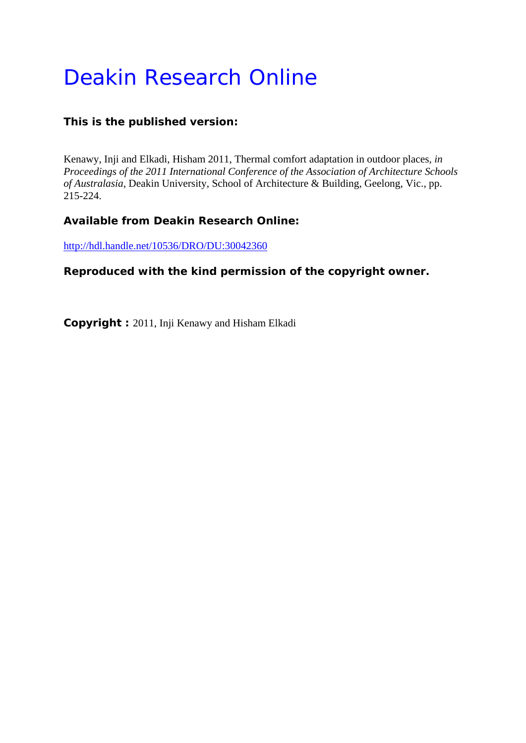# Deakin Research Online

## **This is the published version:**

Kenawy, Inji and Elkadi, Hisham 2011, Thermal comfort adaptation in outdoor places*, in Proceedings of the 2011 International Conference of the Association of Architecture Schools of Australasia*, Deakin University, School of Architecture & Building, Geelong, Vic., pp. 215-224.

## **Available from Deakin Research Online:**

http://hdl.handle.net/10536/DRO/DU:30042360

## **Reproduced with the kind permission of the copyright owner.**

**Copyright :** 2011, Inji Kenawy and Hisham Elkadi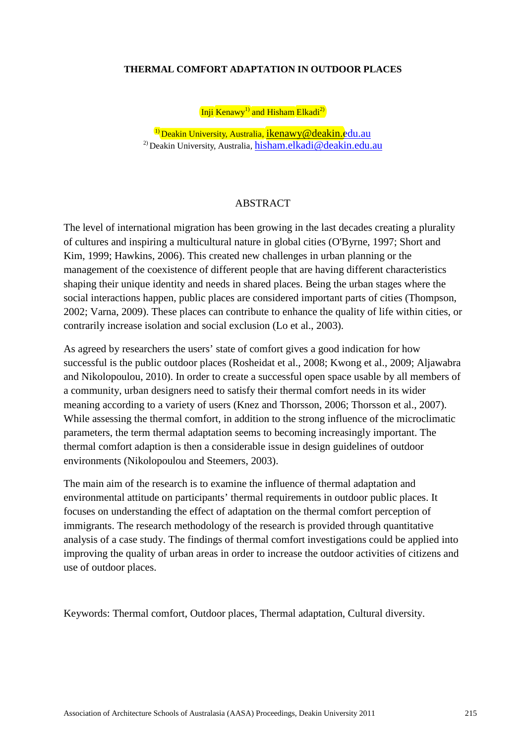#### **THERMAL COMFORT ADAPTATION IN OUTDOOR PLACES**

Inji  $\text{Kenawy}^{1}$  and Hisham Elkadi<sup>2)</sup>

<sup>1)</sup> Deakin University, Australia, *ikenawy@deakin.edu.au* <sup>2)</sup> Deakin University, Australia, [hisham.elkadi@deakin.edu.au](mailto:hisham.elkadi@deakin.edu.au)

#### ABSTRACT

The level of international migration has been growing in the last decades creating a plurality of cultures and inspiring a multicultural nature in global cities (O'Byrne, 1997; Short and Kim, 1999; Hawkins, 2006). This created new challenges in urban planning or the management of the coexistence of different people that are having different characteristics shaping their unique identity and needs in shared places. Being the urban stages where the social interactions happen, public places are considered important parts of cities (Thompson, 2002; Varna, 2009). These places can contribute to enhance the quality of life within cities, or contrarily increase isolation and social exclusion (Lo et al., 2003).

As agreed by researchers the users' state of comfort gives a good indication for how successful is the public outdoor places (Rosheidat et al., 2008; Kwong et al., 2009; Aljawabra and Nikolopoulou, 2010). In order to create a successful open space usable by all members of a community, urban designers need to satisfy their thermal comfort needs in its wider meaning according to a variety of users (Knez and Thorsson, 2006; Thorsson et al., 2007). While assessing the thermal comfort, in addition to the strong influence of the microclimatic parameters, the term thermal adaptation seems to becoming increasingly important. The thermal comfort adaption is then a considerable issue in design guidelines of outdoor environments (Nikolopoulou and Steemers, 2003).

The main aim of the research is to examine the influence of thermal adaptation and environmental attitude on participants' thermal requirements in outdoor public places. It focuses on understanding the effect of adaptation on the thermal comfort perception of immigrants. The research methodology of the research is provided through quantitative analysis of a case study. The findings of thermal comfort investigations could be applied into improving the quality of urban areas in order to increase the outdoor activities of citizens and use of outdoor places.

Keywords: Thermal comfort, Outdoor places, Thermal adaptation, Cultural diversity.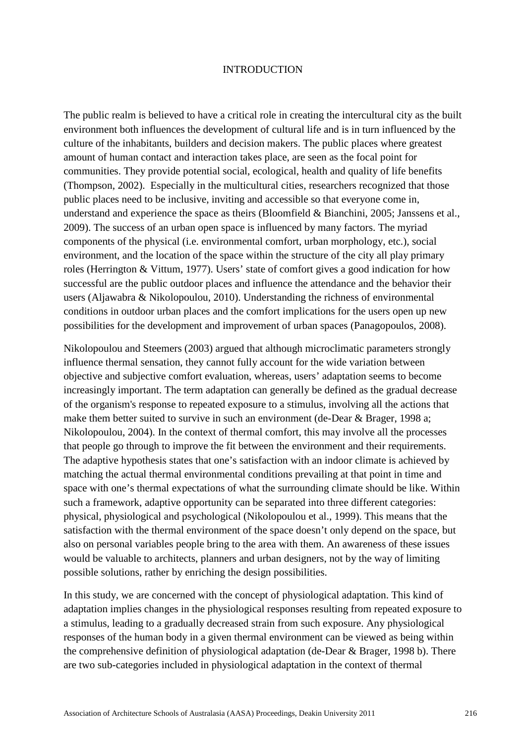#### INTRODUCTION

The public realm is believed to have a critical role in creating the intercultural city as the built environment both influences the development of cultural life and is in turn influenced by the culture of the inhabitants, builders and decision makers. The public places where greatest amount of human contact and interaction takes place, are seen as the focal point for communities. They provide potential social, ecological, health and quality of life benefits (Thompson, 2002). Especially in the multicultural cities, researchers recognized that those public places need to be inclusive, inviting and accessible so that everyone come in, understand and experience the space as theirs (Bloomfield & Bianchini, 2005; Janssens et al., 2009). The success of an urban open space is influenced by many factors. The myriad components of the physical (i.e. environmental comfort, urban morphology, etc.), social environment, and the location of the space within the structure of the city all play primary roles (Herrington & Vittum, 1977). Users' state of comfort gives a good indication for how successful are the public outdoor places and influence the attendance and the behavior their users (Aljawabra & Nikolopoulou, 2010). Understanding the richness of environmental conditions in outdoor urban places and the comfort implications for the users open up new possibilities for the development and improvement of urban spaces (Panagopoulos, 2008).

Nikolopoulou and Steemers (2003) argued that although microclimatic parameters strongly influence thermal sensation, they cannot fully account for the wide variation between objective and subjective comfort evaluation, whereas, users' adaptation seems to become increasingly important. The term adaptation can generally be defined as the gradual decrease of the organism's response to repeated exposure to a stimulus, involving all the actions that make them better suited to survive in such an environment (de-Dear & Brager, 1998 a; Nikolopoulou, 2004). In the context of thermal comfort, this may involve all the processes that people go through to improve the fit between the environment and their requirements. The adaptive hypothesis states that one's satisfaction with an indoor climate is achieved by matching the actual thermal environmental conditions prevailing at that point in time and space with one's thermal expectations of what the surrounding climate should be like. Within such a framework, adaptive opportunity can be separated into three different categories: physical, physiological and psychological (Nikolopoulou et al., 1999). This means that the satisfaction with the thermal environment of the space doesn't only depend on the space, but also on personal variables people bring to the area with them. An awareness of these issues would be valuable to architects, planners and urban designers, not by the way of limiting possible solutions, rather by enriching the design possibilities.

In this study, we are concerned with the concept of physiological adaptation. This kind of adaptation implies changes in the physiological responses resulting from repeated exposure to a stimulus, leading to a gradually decreased strain from such exposure. Any physiological responses of the human body in a given thermal environment can be viewed as being within the comprehensive definition of physiological adaptation (de-Dear & Brager, 1998 b). There are two sub-categories included in physiological adaptation in the context of thermal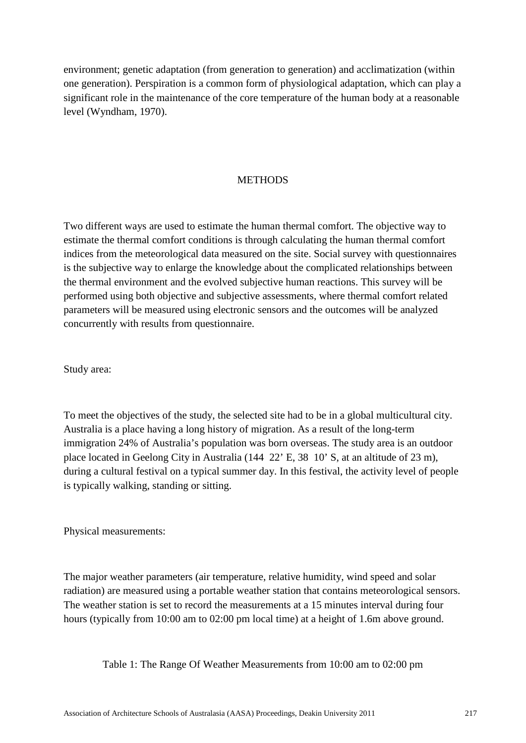environment; genetic adaptation (from generation to generation) and acclimatization (within one generation). Perspiration is a common form of physiological adaptation, which can play a significant role in the maintenance of the core temperature of the human body at a reasonable level (Wyndham, 1970).

#### **METHODS**

Two different ways are used to estimate the human thermal comfort. The objective way to estimate the thermal comfort conditions is through calculating the human thermal comfort indices from the meteorological data measured on the site. Social survey with questionnaires is the subjective way to enlarge the knowledge about the complicated relationships between the thermal environment and the evolved subjective human reactions. This survey will be performed using both objective and subjective assessments, where thermal comfort related parameters will be measured using electronic sensors and the outcomes will be analyzed concurrently with results from questionnaire.

Study area:

To meet the objectives of the study, the selected site had to be in a global multicultural city. Australia is a place having a long history of migration. As a result of the long-term immigration 24% of Australia's population was born overseas. The study area is an outdoor place located in Geelong City in Australia (144 22' E, 38 10' S, at an altitude of 23 m), during a cultural festival on a typical summer day. In this festival, the activity level of people is typically walking, standing or sitting.

Physical measurements:

The major weather parameters (air temperature, relative humidity, wind speed and solar radiation) are measured using a portable weather station that contains meteorological sensors. The weather station is set to record the measurements at a 15 minutes interval during four hours (typically from 10:00 am to 02:00 pm local time) at a height of 1.6m above ground.

Table 1: The Range Of Weather Measurements from 10:00 am to 02:00 pm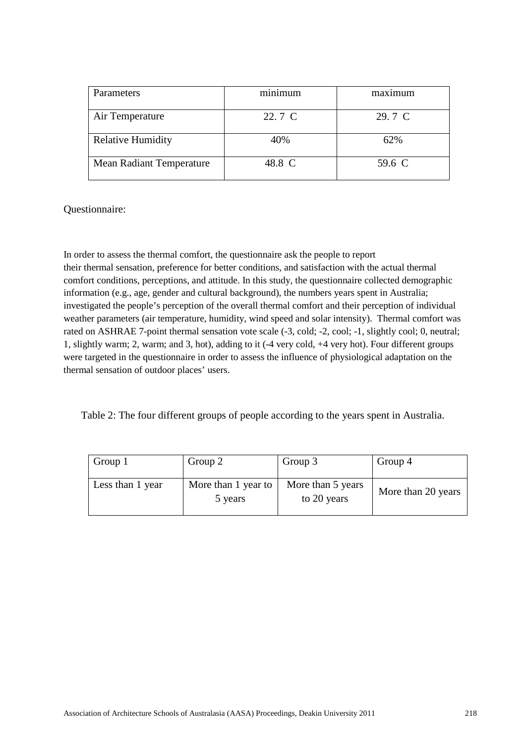| <b>Parameters</b>               | minimum | maximum |
|---------------------------------|---------|---------|
| Air Temperature                 | 22.7 C  | 29.7 C  |
| <b>Relative Humidity</b>        | 40%     | 62%     |
| <b>Mean Radiant Temperature</b> | 48.8 C  | 59.6 C  |

Questionnaire:

In order to assess the thermal comfort, the questionnaire ask the people to report their thermal sensation, preference for better conditions, and satisfaction with the actual thermal comfort conditions, perceptions, and attitude. In this study, the questionnaire collected demographic information (e.g., age, gender and cultural background), the numbers years spent in Australia; investigated the people's perception of the overall thermal comfort and their perception of individual weather parameters (air temperature, humidity, wind speed and solar intensity). Thermal comfort was rated on ASHRAE 7-point thermal sensation vote scale (-3, cold; -2, cool; -1, slightly cool; 0, neutral; 1, slightly warm; 2, warm; and 3, hot), adding to it (-4 very cold, +4 very hot). Four different groups were targeted in the questionnaire in order to assess the influence of physiological adaptation on the thermal sensation of outdoor places' users.

Table 2: The four different groups of people according to the years spent in Australia.

| Group 1          | Group 2                        | Group 3                          | Group 4            |
|------------------|--------------------------------|----------------------------------|--------------------|
| Less than 1 year | More than 1 year to<br>5 years | More than 5 years<br>to 20 years | More than 20 years |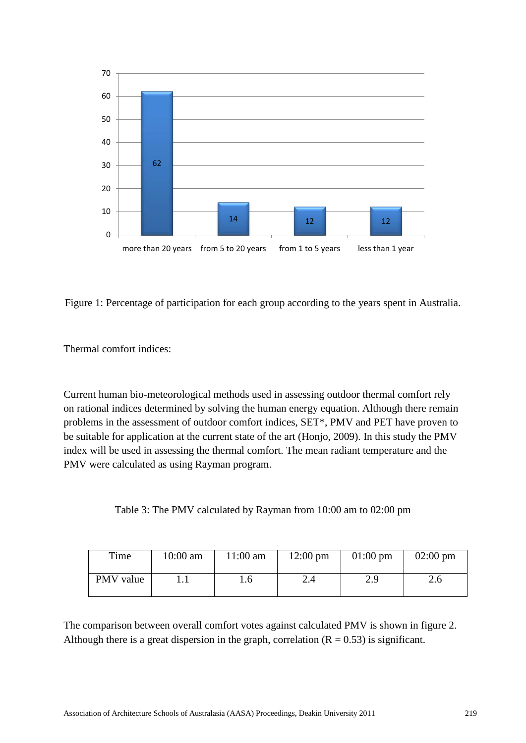

Figure 1: Percentage of participation for each group according to the years spent in Australia.

Thermal comfort indices:

Current human bio-meteorological methods used in assessing outdoor thermal comfort rely on rational indices determined by solving the human energy equation. Although there remain problems in the assessment of outdoor comfort indices, SET\*, PMV and PET have proven to be suitable for application at the current state of the art (Honjo, 2009). In this study the PMV index will be used in assessing the thermal comfort. The mean radiant temperature and the PMV were calculated as using Rayman program.

Table 3: The PMV calculated by Rayman from 10:00 am to 02:00 pm

| Time      | $10:00$ am | $11:00$ am | $12:00 \text{ pm}$ | $01:00 \text{ pm}$ | $02:00 \text{ pm}$ |
|-----------|------------|------------|--------------------|--------------------|--------------------|
| PMV value |            | 1.6        | 2.4                | 2.9                | 2.6                |

The comparison between overall comfort votes against calculated PMV is shown in figure 2. Although there is a great dispersion in the graph, correlation  $(R = 0.53)$  is significant.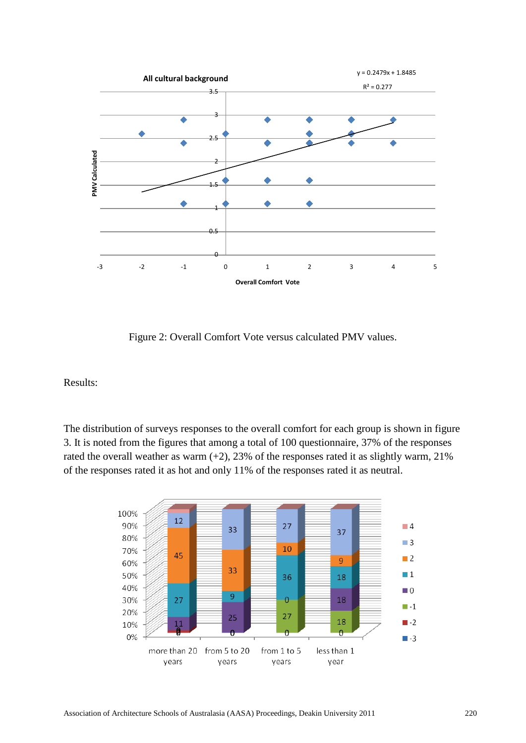

Figure 2: Overall Comfort Vote versus calculated PMV values.

Results:

The distribution of surveys responses to the overall comfort for each group is shown in figure 3. It is noted from the figures that among a total of 100 questionnaire, 37% of the responses rated the overall weather as warm  $(+2)$ , 23% of the responses rated it as slightly warm, 21% of the responses rated it as hot and only 11% of the responses rated it as neutral.

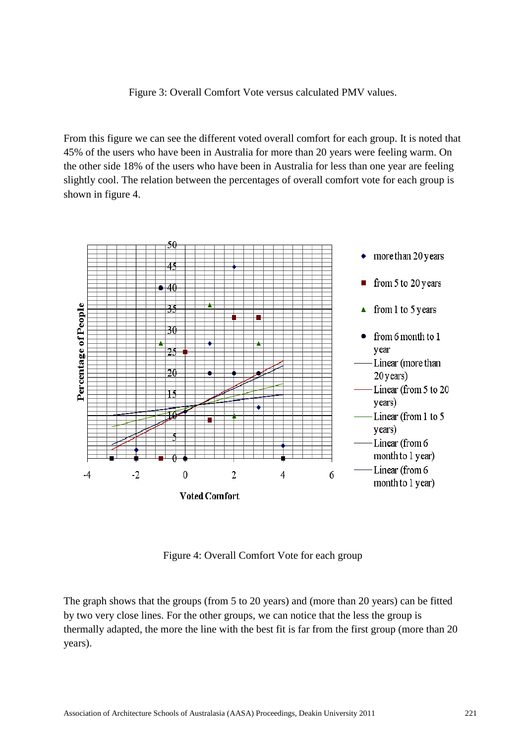Figure 3: Overall Comfort Vote versus calculated PMV values.

From this figure we can see the different voted overall comfort for each group. It is noted that 45% of the users who have been in Australia for more than 20 years were feeling warm. On the other side 18% of the users who have been in Australia for less than one year are feeling slightly cool. The relation between the percentages of overall comfort vote for each group is shown in figure 4.



Figure 4: Overall Comfort Vote for each group

The graph shows that the groups (from 5 to 20 years) and (more than 20 years) can be fitted by two very close lines. For the other groups, we can notice that the less the group is thermally adapted, the more the line with the best fit is far from the first group (more than 20 years).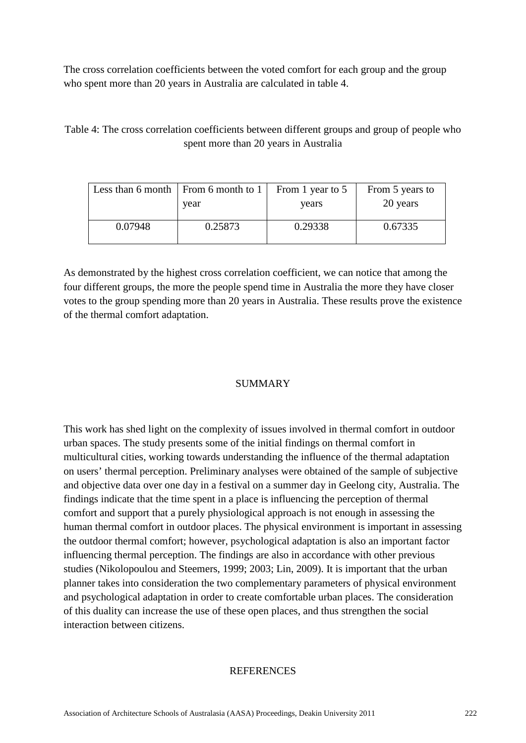The cross correlation coefficients between the voted comfort for each group and the group who spent more than 20 years in Australia are calculated in table 4.

Table 4: The cross correlation coefficients between different groups and group of people who spent more than 20 years in Australia

|         | Less than 6 month $\mid$ From 6 month to 1 | From 1 year to 5 | From 5 years to |
|---------|--------------------------------------------|------------------|-----------------|
|         | year                                       | years            | 20 years        |
| 0.07948 | 0.25873                                    | 0.29338          | 0.67335         |

As demonstrated by the highest cross correlation coefficient, we can notice that among the four different groups, the more the people spend time in Australia the more they have closer votes to the group spending more than 20 years in Australia. These results prove the existence of the thermal comfort adaptation.

## SUMMARY

This work has shed light on the complexity of issues involved in thermal comfort in outdoor urban spaces. The study presents some of the initial findings on thermal comfort in multicultural cities, working towards understanding the influence of the thermal adaptation on users' thermal perception. Preliminary analyses were obtained of the sample of subjective and objective data over one day in a festival on a summer day in Geelong city, Australia. The findings indicate that the time spent in a place is influencing the perception of thermal comfort and support that a purely physiological approach is not enough in assessing the human thermal comfort in outdoor places. The physical environment is important in assessing the outdoor thermal comfort; however, psychological adaptation is also an important factor influencing thermal perception. The findings are also in accordance with other previous studies (Nikolopoulou and Steemers, 1999; 2003; Lin, 2009). It is important that the urban planner takes into consideration the two complementary parameters of physical environment and psychological adaptation in order to create comfortable urban places. The consideration of this duality can increase the use of these open places, and thus strengthen the social interaction between citizens.

### **REFERENCES**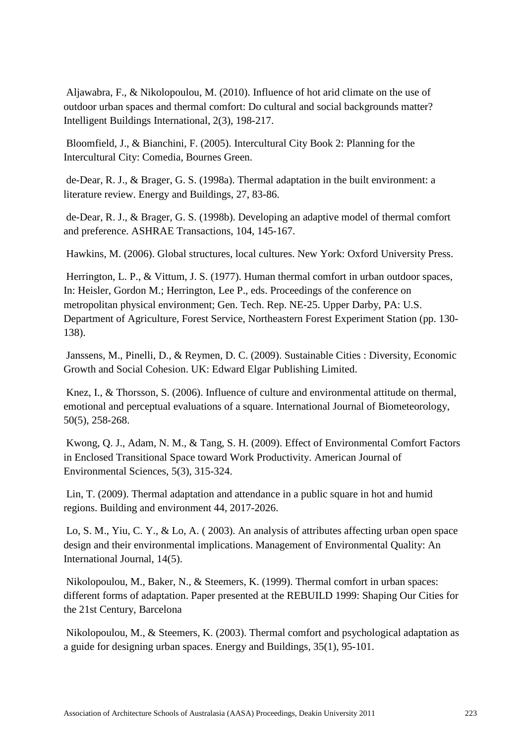Aljawabra, F., & Nikolopoulou, M. (2010). Influence of hot arid climate on the use of outdoor urban spaces and thermal comfort: Do cultural and social backgrounds matter? Intelligent Buildings International, 2(3), 198-217.

Bloomfield, J., & Bianchini, F. (2005). Intercultural City Book 2: Planning for the Intercultural City: Comedia, Bournes Green.

de-Dear, R. J., & Brager, G. S. (1998a). Thermal adaptation in the built environment: a literature review. Energy and Buildings, 27, 83-86.

de-Dear, R. J., & Brager, G. S. (1998b). Developing an adaptive model of thermal comfort and preference. ASHRAE Transactions, 104, 145-167.

Hawkins, M. (2006). Global structures, local cultures. New York: Oxford University Press.

Herrington, L. P., & Vittum, J. S. (1977). Human thermal comfort in urban outdoor spaces, In: Heisler, Gordon M.; Herrington, Lee P., eds. Proceedings of the conference on metropolitan physical environment; Gen. Tech. Rep. NE-25. Upper Darby, PA: U.S. Department of Agriculture, Forest Service, Northeastern Forest Experiment Station (pp. 130- 138).

Janssens, M., Pinelli, D., & Reymen, D. C. (2009). Sustainable Cities : Diversity, Economic Growth and Social Cohesion. UK: Edward Elgar Publishing Limited.

Knez, I., & Thorsson, S. (2006). Influence of culture and environmental attitude on thermal, emotional and perceptual evaluations of a square. International Journal of Biometeorology, 50(5), 258-268.

Kwong, Q. J., Adam, N. M., & Tang, S. H. (2009). Effect of Environmental Comfort Factors in Enclosed Transitional Space toward Work Productivity. American Journal of Environmental Sciences, 5(3), 315-324.

Lin, T. (2009). Thermal adaptation and attendance in a public square in hot and humid regions. Building and environment 44, 2017-2026.

Lo, S. M., Yiu, C. Y., & Lo, A. ( 2003). An analysis of attributes affecting urban open space design and their environmental implications. Management of Environmental Quality: An International Journal, 14(5).

Nikolopoulou, M., Baker, N., & Steemers, K. (1999). Thermal comfort in urban spaces: different forms of adaptation. Paper presented at the REBUILD 1999: Shaping Our Cities for the 21st Century, Barcelona

Nikolopoulou, M., & Steemers, K. (2003). Thermal comfort and psychological adaptation as a guide for designing urban spaces. Energy and Buildings, 35(1), 95-101.